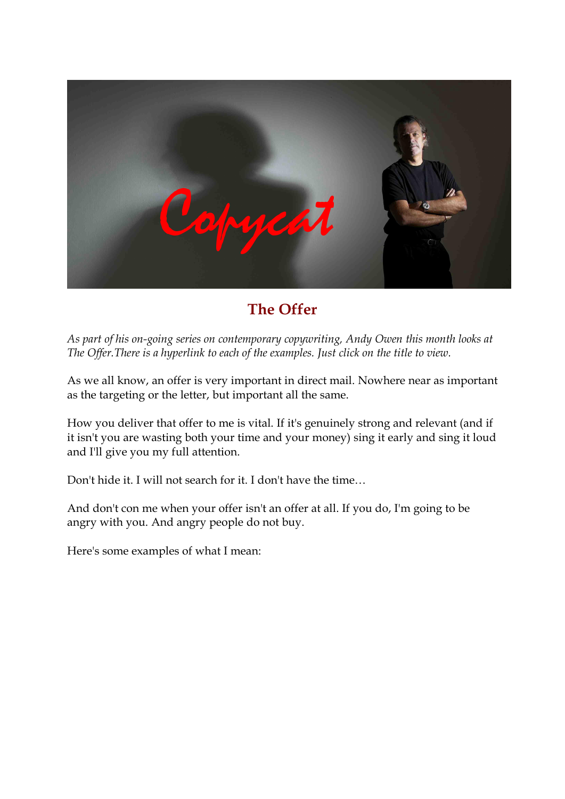

# **The Offer**

As part of his on-going series on contemporary copywriting, Andy Owen this month looks at *The Offer.There is a hyperlink to each of the examples. Just click on the title to view.*

As we all know, an offer is very important in direct mail. Nowhere near as important as the targeting or the letter, but important all the same.

How you deliver that offer to me is vital. If it's genuinely strong and relevant (and if it isn't you are wasting both your time and your money) sing it early and sing it loud and I'll give you my full attention.

Don't hide it. I will not search for it. I don't have the time…

And don't con me when your offer isn't an offer at all. If you do, I'm going to be angry with you. And angry people do not buy.

Here's some examples of what I mean: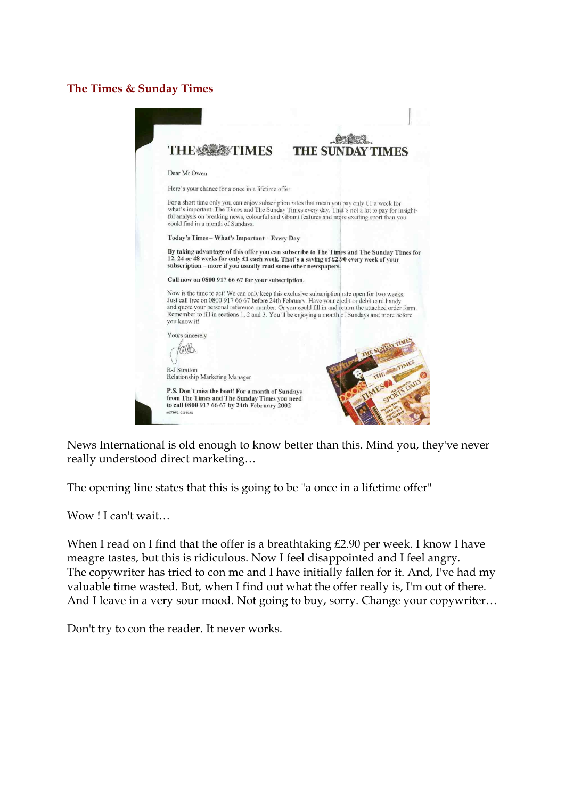## **The Times & Sunday Times**



News International is old enough to know better than this. Mind you, they've never really understood direct marketing…

The opening line states that this is going to be "a once in a lifetime offer"

Wow ! I can't wait…

When I read on I find that the offer is a breathtaking £2.90 per week. I know I have meagre tastes, but this is ridiculous. Now I feel disappointed and I feel angry. The copywriter has tried to con me and I have initially fallen for it. And, I've had my valuable time wasted. But, when I find out what the offer really is, I'm out of there. And I leave in a very sour mood. Not going to buy, sorry. Change your copywriter…

Don't try to con the reader. It never works.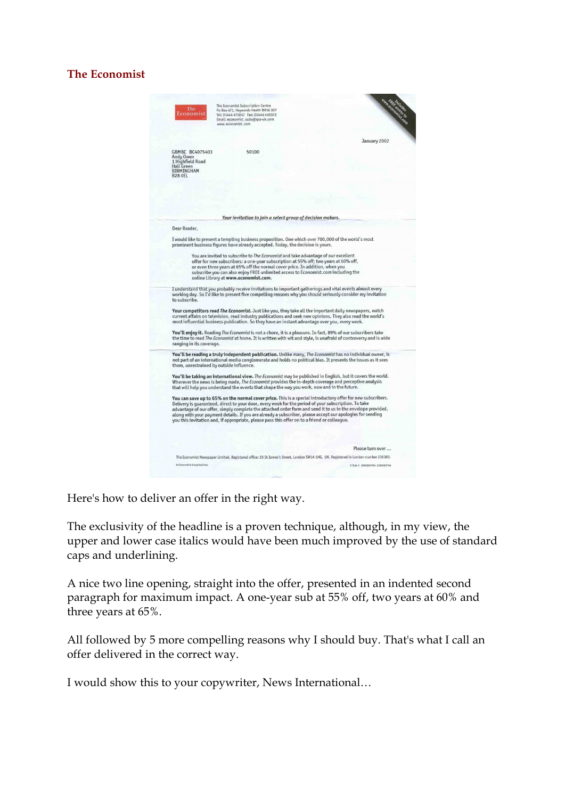### **The Economist**

| The<br>Economist                                                                                             | The Economist Subscription Centre<br>Po Box 471, Haywards Heath RH16 3GY<br>Tel: 01444 475647 Fax: 01444 445572<br>Email: economist.subs@gss-uk.com<br>www.economist.com                                                                                                                                                                                                                                                                        | Www.echaracter.com |
|--------------------------------------------------------------------------------------------------------------|-------------------------------------------------------------------------------------------------------------------------------------------------------------------------------------------------------------------------------------------------------------------------------------------------------------------------------------------------------------------------------------------------------------------------------------------------|--------------------|
|                                                                                                              |                                                                                                                                                                                                                                                                                                                                                                                                                                                 | January 2002       |
| GBMBC BC4075403<br>Andy Owen<br>1 Highfield Road<br><b>Hall Green</b><br><b>BIRMINGHAM</b><br><b>B28 OEL</b> | 50100                                                                                                                                                                                                                                                                                                                                                                                                                                           |                    |
|                                                                                                              |                                                                                                                                                                                                                                                                                                                                                                                                                                                 |                    |
|                                                                                                              | Your invitation to join a select group of decision makers.                                                                                                                                                                                                                                                                                                                                                                                      |                    |
| Dear Reader,                                                                                                 | I would like to present a tempting business proposition. One which over 700,000 of the world's most<br>prominent business figures have already accepted. Today, the decision is yours.                                                                                                                                                                                                                                                          |                    |
|                                                                                                              | You are invited to subscribe to The Economist and take advantage of our excellent<br>offer for new subscribers: a one-year subscription at 55% off; two years at 60% off,<br>or even three years at 65% off the normal cover price. In addition, when you<br>subscribe you can also enjoy FREE unlimited access to Economist.com including the<br>online Library at www.economist.com.                                                          |                    |
| to subscribe.                                                                                                | I understand that you probably receive invitations to important gatherings and vital events almost every<br>working day. So I'd like to present five compelling reasons why you should seriously consider my invitation                                                                                                                                                                                                                         |                    |
|                                                                                                              | Your competitors read <i>The Economist</i> . Just like you, they take all the important daily newspapers, watch<br>current affairs on television, read industry publications and seek new opinions. They also read the world's<br>most influential business publication. So they have an instant advantage over you, every week.                                                                                                                |                    |
| ranging in its coverage.                                                                                     | You'll enjoy it. Reading The Economist is not a chore, it is a pleasure. In fact, 89% of our subscribers take<br>the time to read The Economist at home. It is written with wit and style, is unafraid of controversy and is wide                                                                                                                                                                                                               |                    |
|                                                                                                              | You'll be reading a truly independent publication. Unlike many, The Economist has no individual owner, is<br>not part of an international media conglomerate and holds no political bias. It presents the issues as it sees<br>them, unrestrained by outside influence.                                                                                                                                                                         |                    |
|                                                                                                              | You'll be taking an international view. The Economist may be published in English, but it covers the world.<br>Wherever the news is being made, The Economist provides the in-depth coverage and perceptive analysis<br>that will help you understand the events that shape the way you work, now and in the future.                                                                                                                            |                    |
|                                                                                                              | You can save up to 65% on the normal cover price. This is a special introductory offer for new subscribers.<br>Delivery is guaranteed, direct to your door, every week for the period of your subscription. To take<br>advantage of our offer, simply complete the attached order form and send it to us in the envelope provided,<br>along with your payment details. If you are already a subscriber, please accept our apologies for sending |                    |
|                                                                                                              | you this invitation and, if appropriate, please pass this offer on to a friend or colleague.                                                                                                                                                                                                                                                                                                                                                    |                    |
|                                                                                                              |                                                                                                                                                                                                                                                                                                                                                                                                                                                 |                    |
|                                                                                                              |                                                                                                                                                                                                                                                                                                                                                                                                                                                 |                    |
|                                                                                                              | The Economist Newspaper Limited. Registered office: 25 St James's Street, London SW1A 1HG, UK. Registered in London number 236383.                                                                                                                                                                                                                                                                                                              | Please turn over   |

Here's how to deliver an offer in the right way.

The exclusivity of the headline is a proven technique, although, in my view, the upper and lower case italics would have been much improved by the use of standard caps and underlining.

A nice two line opening, straight into the offer, presented in an indented second paragraph for maximum impact. A one-year sub at 55% off, two years at 60% and three years at 65%.

All followed by 5 more compelling reasons why I should buy. That's what I call an offer delivered in the correct way.

I would show this to your copywriter, News International…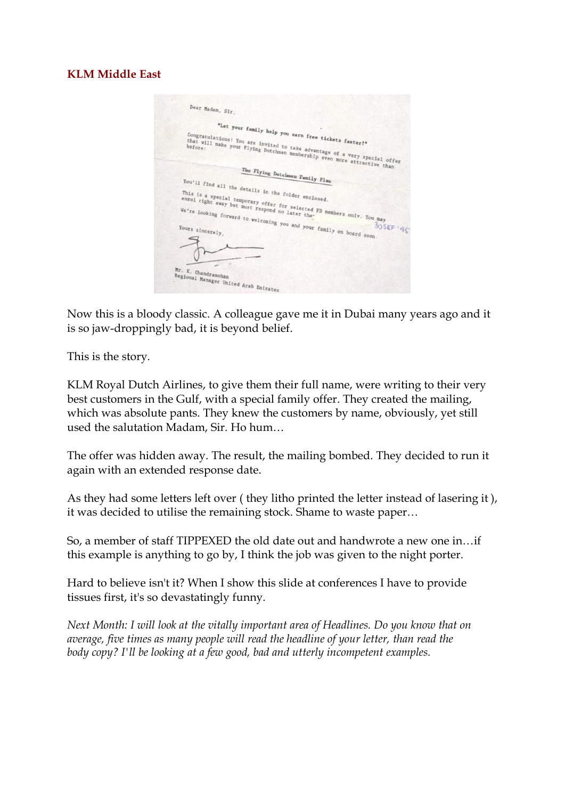### **KLM Middle East**

| Dear Madam, Sir,                                                                                                                   |          |
|------------------------------------------------------------------------------------------------------------------------------------|----------|
|                                                                                                                                    |          |
| "Let your family help you earn free tickets faster!"<br>Congratulations! You are invited to take advantage of a very special offer |          |
| that will make your Flying Dutchman membership even more attractive than                                                           |          |
|                                                                                                                                    |          |
| The Flying Dutchman Family Flan                                                                                                    |          |
| You'll find all the details in the folder enclosed.                                                                                |          |
| This is a special temporary offer for selected FD members only. You may                                                            |          |
| We're looking forward to welcoming you and your family on board soon.<br>Yours sincerely,                                          | 30509.95 |
|                                                                                                                                    |          |
|                                                                                                                                    |          |
| Mr. K. Chandramohan<br>Regional Manager United Arab Emirates                                                                       |          |
|                                                                                                                                    |          |

Now this is a bloody classic. A colleague gave me it in Dubai many years ago and it is so jaw-droppingly bad, it is beyond belief.

This is the story.

KLM Royal Dutch Airlines, to give them their full name, were writing to their very best customers in the Gulf, with a special family offer. They created the mailing, which was absolute pants. They knew the customers by name, obviously, yet still used the salutation Madam, Sir. Ho hum…

The offer was hidden away. The result, the mailing bombed. They decided to run it again with an extended response date.

As they had some letters left over ( they litho printed the letter instead of lasering it ), it was decided to utilise the remaining stock. Shame to waste paper…

So, a member of staff TIPPEXED the old date out and handwrote a new one in…if this example is anything to go by, I think the job was given to the night porter.

Hard to believe isn't it? When I show this slide at conferences I have to provide tissues first, it's so devastatingly funny.

*Next Month: I will look at the vitally important area of Headlines. Do you know that on average, five times as many people will read the headline of your letter, than read the body copy? I'll be looking at a few good, bad and utterly incompetent examples.*